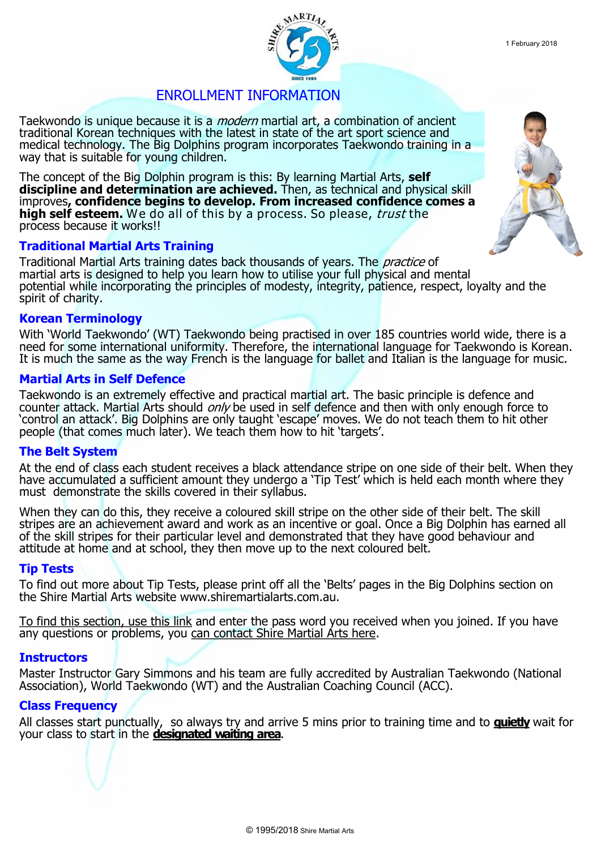

Taekwondo is unique because it is a *modern* martial art, a combination of ancient traditional Korean techniques with the latest in state of the art sport science and medical technology. The Big Dolphins program incorporates Taekwondo training in a way that is suitable for young children.

The concept of the Big Dolphin program is this: By learning Martial Arts, **self discipline and determination are achieved.** Then, as technical and physical skill improves**, confidence begins to develop. From increased confidence comes a high self esteem.** We do all of this by a process. So please, trust the process because it works!!

## **Traditional Martial Arts Training**

Traditional Martial Arts training dates back thousands of years. The practice of martial arts is designed to help you learn how to utilise your full physical and mental potential while incorporating the principles of modesty, integrity, patience, respect, loyalty and the spirit of charity.

### **Korean Terminology**

With 'World Taekwondo' (WT) Taekwondo being practised in over 185 countries world wide, there is a need for some international uniformity. Therefore, the international language for Taekwondo is Korean. It is much the same as the way French is the language for ballet and Italian is the language for music.

### **Martial Arts in Self Defence**

Taekwondo is an extremely effective and practical martial art. The basic principle is defence and counter attack. Martial Arts should *only* be used in self defence and then with only enough force to 'control an attack'. Big Dolphins are only taught 'escape' moves. We do not teach them to hit other people (that comes much later). We teach them how to hit 'targets'.

# **The Belt System**

At the end of class each student receives a black attendance stripe on one side of their belt. When they have accumulated a sufficient amount they undergo a 'Tip Test' which is held each month where they must demonstrate the skills covered in their syllabus.

When they can do this, they receive a coloured skill stripe on the other side of their belt. The skill stripes are an achievement award and work as an incentive or goal. Once a Big Dolphin has earned all of the skill stripes for their particular level and demonstrated that they have good behaviour and attitude at home and at school, they then move up to the next coloured belt.

### **Tip Tests**

To find out more about Tip Tests, please print off all the 'Belts' pages in the Big Dolphins section on the Shire Martial Arts website www.shiremartialarts.com.au.

[To find this section, use this link](http://www.shiremartialarts.com.au/beginner-log-in/) and enter the pass word you received when you joined. If you have any questions or problems, you [can contact Shire Martial Arts here.](http://www.shiremartialarts.com.au/contact-us/)

### **Instructors**

Master Instructor Gary Simmons and his team are fully accredited by Australian Taekwondo (National Association), World Taekwondo (WT) and the Australian Coaching Council (ACC).

### **Class Frequency**

All classes start punctually, so always try and arrive 5 mins prior to training time and to **quietly** wait for your class to start in the **designated waiting area**.